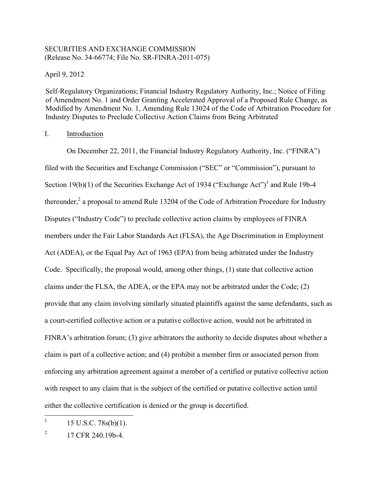# SECURITIES AND EXCHANGE COMMISSION (Release No. 34-66774; File No. SR-FINRA-2011-075)

April 9, 2012

Self-Regulatory Organizations; Financial Industry Regulatory Authority, Inc.; Notice of Filing of Amendment No. 1 and Order Granting Accelerated Approval of a Proposed Rule Change, as Modified by Amendment No. 1, Amending Rule 13024 of the Code of Arbitration Procedure for Industry Disputes to Preclude Collective Action Claims from Being Arbitrated

## I. Introduction

thereunder,<sup>2</sup> a proposal to amend Rule 13204 of the Code of Arbitration Procedure for Industry On December 22, 2011, the Financial Industry Regulatory Authority, Inc. ("FINRA") filed with the Securities and Exchange Commission ("SEC" or "Commission"), pursuant to Section 19(b)(1) of the Securities Exchange Act of 1934 ("Exchange Act")<sup>1</sup> and Rule 19b-4 Disputes ("Industry Code") to preclude collective action claims by employees of FINRA members under the Fair Labor Standards Act (FLSA), the Age Discrimination in Employment Act (ADEA), or the Equal Pay Act of 1963 (EPA) from being arbitrated under the Industry Code. Specifically, the proposal would, among other things, (1) state that collective action claims under the FLSA, the ADEA, or the EPA may not be arbitrated under the Code; (2) provide that any claim involving similarly situated plaintiffs against the same defendants, such as a court-certified collective action or a putative collective action, would not be arbitrated in FINRA's arbitration forum; (3) give arbitrators the authority to decide disputes about whether a claim is part of a collective action; and (4) prohibit a member firm or associated person from enforcing any arbitration agreement against a member of a certified or putative collective action with respect to any claim that is the subject of the certified or putative collective action until either the collective certification is denied or the group is decertified.

 $\mathbf{1}$ <u> 1989 - Johann Stein, fransk politik (d. 1989)</u>  $15$  U.S.C.  $78s(b)(1)$ .

 $\overline{2}$ 2 17 CFR 240.19b-4.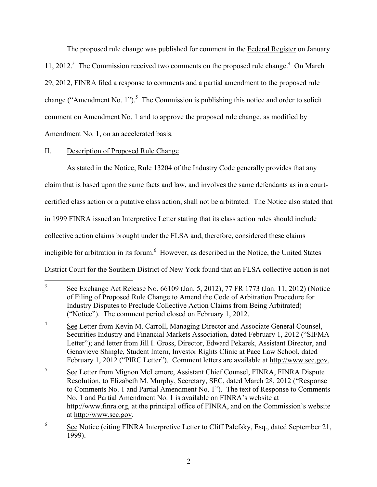11, 2012.<sup>3</sup> The Commission received two comments on the proposed rule change.<sup>4</sup> On March change ("Amendment No. 1").<sup>5</sup> The Commission is publishing this notice and order to solicit The proposed rule change was published for comment in the Federal Register on January 29, 2012, FINRA filed a response to comments and a partial amendment to the proposed rule comment on Amendment No. 1 and to approve the proposed rule change, as modified by Amendment No. 1, on an accelerated basis.

# II. Description of Proposed Rule Change

ineligible for arbitration in its forum.<sup>6</sup> However, as described in the Notice, the United States As stated in the Notice, Rule 13204 of the Industry Code generally provides that any claim that is based upon the same facts and law, and involves the same defendants as in a courtcertified class action or a putative class action, shall not be arbitrated. The Notice also stated that in 1999 FINRA issued an Interpretive Letter stating that its class action rules should include collective action claims brought under the FLSA and, therefore, considered these claims District Court for the Southern District of New York found that an FLSA collective action is not

 $\overline{3}$  ("Notice"). The comment period closed on February 1, 2012. <u> 1989 - Johann Stein, fransk politik (d. 1989)</u> See Exchange Act Release No. 66109 (Jan. 5, 2012), 77 FR 1773 (Jan. 11, 2012) (Notice of Filing of Proposed Rule Change to Amend the Code of Arbitration Procedure for Industry Disputes to Preclude Collective Action Claims from Being Arbitrated)

 $\overline{4}$ See Letter from Kevin M. Carroll, Managing Director and Associate General Counsel, Securities Industry and Financial Markets Association, dated February 1, 2012 ("SIFMA Letter"); and letter from Jill I. Gross, Director, Edward Pekarek, Assistant Director, and Genavieve Shingle, Student Intern, Investor Rights Clinic at Pace Law School, dated February 1, 2012 ("PIRC Letter"). Comment letters are available at http://www.sec.gov.

<sup>5</sup>  No. 1 and Partial Amendment No. 1 is available on FINRA's website at See Letter from Mignon McLemore, Assistant Chief Counsel, FINRA, FINRA Dispute Resolution, to Elizabeth M. Murphy, Secretary, SEC, dated March 28, 2012 ("Response to Comments No. 1 and Partial Amendment No. 1"). The text of Response to Comments http://www.finra.org, at the principal office of FINRA, and on the Commission's website at http://www.sec.gov.

<sup>6</sup> See Notice (citing FINRA Interpretive Letter to Cliff Palefsky, Esq., dated September 21, 1999).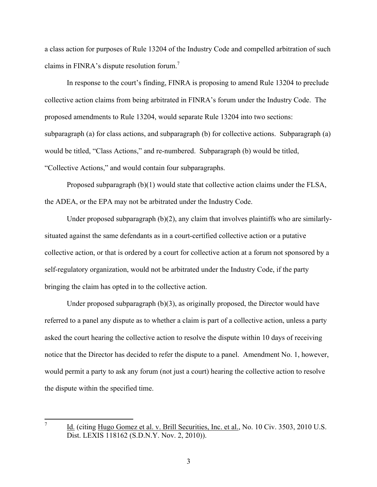claims in FINRA's dispute resolution forum.<sup>7</sup> a class action for purposes of Rule 13204 of the Industry Code and compelled arbitration of such

 In response to the court's finding, FINRA is proposing to amend Rule 13204 to preclude collective action claims from being arbitrated in FINRA's forum under the Industry Code. The "Collective Actions," and would contain four subparagraphs. proposed amendments to Rule 13204, would separate Rule 13204 into two sections: subparagraph (a) for class actions, and subparagraph (b) for collective actions. Subparagraph (a) would be titled, "Class Actions," and re-numbered. Subparagraph (b) would be titled,

Proposed subparagraph  $(b)(1)$  would state that collective action claims under the FLSA, the ADEA, or the EPA may not be arbitrated under the Industry Code.

Under proposed subparagraph (b)(2), any claim that involves plaintiffs who are similarlysituated against the same defendants as in a court-certified collective action or a putative collective action, or that is ordered by a court for collective action at a forum not sponsored by a self-regulatory organization, would not be arbitrated under the Industry Code, if the party bringing the claim has opted in to the collective action.

 notice that the Director has decided to refer the dispute to a panel. Amendment No. 1, however, Under proposed subparagraph  $(b)(3)$ , as originally proposed, the Director would have referred to a panel any dispute as to whether a claim is part of a collective action, unless a party asked the court hearing the collective action to resolve the dispute within 10 days of receiving would permit a party to ask any forum (not just a court) hearing the collective action to resolve the dispute within the specified time.

<u> 1989 - Johann Stein, fransk politik (d. 1989)</u>

 7 Id. (citing Hugo Gomez et al. v. Brill Securities, Inc. et al., No. 10 Civ. 3503, 2010 U.S. Dist. LEXIS 118162 (S.D.N.Y. Nov. 2, 2010)).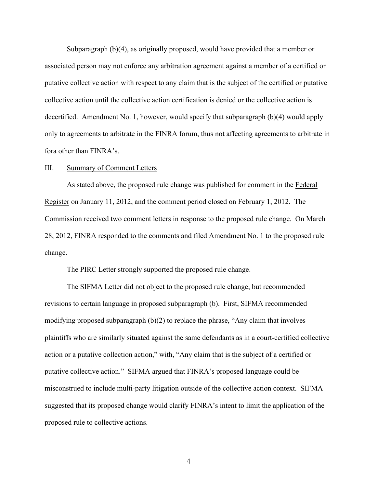Subparagraph (b)(4), as originally proposed, would have provided that a member or decertified. Amendment No. 1, however, would specify that subparagraph (b)(4) would apply associated person may not enforce any arbitration agreement against a member of a certified or putative collective action with respect to any claim that is the subject of the certified or putative collective action until the collective action certification is denied or the collective action is only to agreements to arbitrate in the FINRA forum, thus not affecting agreements to arbitrate in fora other than FINRA's.

#### III. Summary of Comment Letters

 Commission received two comment letters in response to the proposed rule change. On March change. As stated above, the proposed rule change was published for comment in the Federal Register on January 11, 2012, and the comment period closed on February 1, 2012. The 28, 2012, FINRA responded to the comments and filed Amendment No. 1 to the proposed rule

The PIRC Letter strongly supported the proposed rule change.

 misconstrued to include multi-party litigation outside of the collective action context. SIFMA proposed rule to collective actions.<br>4 The SIFMA Letter did not object to the proposed rule change, but recommended revisions to certain language in proposed subparagraph (b). First, SIFMA recommended modifying proposed subparagraph (b)(2) to replace the phrase, "Any claim that involves plaintiffs who are similarly situated against the same defendants as in a court-certified collective action or a putative collection action," with, "Any claim that is the subject of a certified or putative collective action." SIFMA argued that FINRA's proposed language could be suggested that its proposed change would clarify FINRA's intent to limit the application of the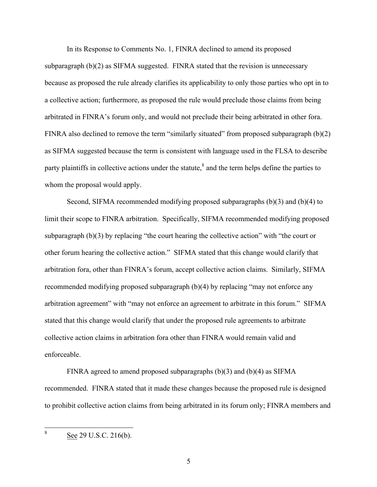arbitrated in FINRA's forum only, and would not preclude their being arbitrated in other fora. In its Response to Comments No. 1, FINRA declined to amend its proposed subparagraph (b)(2) as SIFMA suggested. FINRA stated that the revision is unnecessary because as proposed the rule already clarifies its applicability to only those parties who opt in to a collective action; furthermore, as proposed the rule would preclude those claims from being FINRA also declined to remove the term "similarly situated" from proposed subparagraph  $(b)(2)$ as SIFMA suggested because the term is consistent with language used in the FLSA to describe party plaintiffs in collective actions under the statute, $\delta$  and the term helps define the parties to whom the proposal would apply.

subparagraph (b)(3) by replacing "the court hearing the collective action" with "the court or other forum hearing the collective action." SIFMA stated that this change would clarify that arbitration agreement" with "may not enforce an agreement to arbitrate in this forum." SIFMA Second, SIFMA recommended modifying proposed subparagraphs (b)(3) and (b)(4) to limit their scope to FINRA arbitration. Specifically, SIFMA recommended modifying proposed arbitration fora, other than FINRA's forum, accept collective action claims. Similarly, SIFMA recommended modifying proposed subparagraph (b)(4) by replacing "may not enforce any stated that this change would clarify that under the proposed rule agreements to arbitrate collective action claims in arbitration fora other than FINRA would remain valid and enforceable.

 recommended. FINRA stated that it made these changes because the proposed rule is designed to prohibit collective action claims from being arbitrated in its forum only; FINRA members and FINRA agreed to amend proposed subparagraphs (b)(3) and (b)(4) as SIFMA

 8 See 29 U.S.C. 216(b).

<u> 1989 - Johann Stein, fransk politik (d. 1989)</u>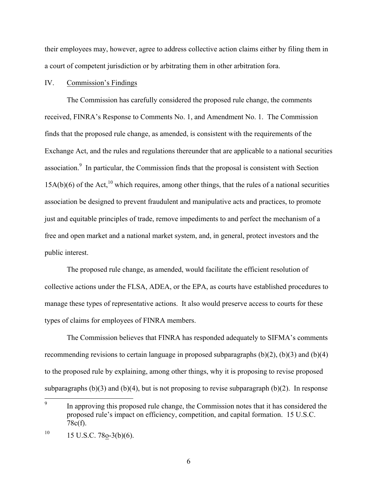a court of competent jurisdiction or by arbitrating them in other arbitration fora. IV. Commission's Findings their employees may, however, agree to address collective action claims either by filing them in

#### Commission's Findings

association. $9$  In particular, the Commission finds that the proposal is consistent with Section The Commission has carefully considered the proposed rule change, the comments received, FINRA's Response to Comments No. 1, and Amendment No. 1. The Commission finds that the proposed rule change, as amended, is consistent with the requirements of the Exchange Act, and the rules and regulations thereunder that are applicable to a national securities  $15A(b)(6)$  of the Act,<sup>10</sup> which requires, among other things, that the rules of a national securities association be designed to prevent fraudulent and manipulative acts and practices, to promote just and equitable principles of trade, remove impediments to and perfect the mechanism of a free and open market and a national market system, and, in general, protect investors and the public interest.

The proposed rule change, as amended, would facilitate the efficient resolution of collective actions under the FLSA, ADEA, or the EPA, as courts have established procedures to manage these types of representative actions. It also would preserve access to courts for these types of claims for employees of FINRA members.

The Commission believes that FINRA has responded adequately to SIFMA's comments recommending revisions to certain language in proposed subparagraphs  $(b)(2)$ ,  $(b)(3)$  and  $(b)(4)$ to the proposed rule by explaining, among other things, why it is proposing to revise proposed subparagraphs  $(b)(3)$  and  $(b)(4)$ , but is not proposing to revise subparagraph  $(b)(2)$ . In response

<u> 1989 - Johann Stein, fransk politik (d. 1989)</u>

 $\overline{9}$ In approving this proposed rule change, the Commission notes that it has considered the proposed rule's impact on efficiency, competition, and capital formation. 15 U.S.C. 78c(f).

 $10\,$  $15$  U.S.C. 78o-3(b)(6).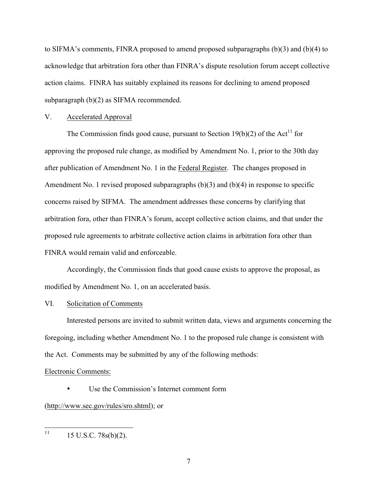to SIFMA's comments, FINRA proposed to amend proposed subparagraphs  $(b)(3)$  and  $(b)(4)$  to acknowledge that arbitration fora other than FINRA's dispute resolution forum accept collective action claims. FINRA has suitably explained its reasons for declining to amend proposed subparagraph (b)(2) as SIFMA recommended.

#### V. Accelerated Approval

Amendment No. 1 revised proposed subparagraphs  $(b)(3)$  and  $(b)(4)$  in response to specific FINRA would remain valid and enforceable. The Commission finds good cause, pursuant to Section 19(b)(2) of the Act<sup>11</sup> for approving the proposed rule change, as modified by Amendment No. 1, prior to the 30th day after publication of Amendment No. 1 in the Federal Register. The changes proposed in concerns raised by SIFMA. The amendment addresses these concerns by clarifying that arbitration fora, other than FINRA's forum, accept collective action claims, and that under the proposed rule agreements to arbitrate collective action claims in arbitration fora other than

Accordingly, the Commission finds that good cause exists to approve the proposal, as modified by Amendment No. 1, on an accelerated basis.

#### VI. Solicitation of Comments

Interested persons are invited to submit written data, views and arguments concerning the foregoing, including whether Amendment No. 1 to the proposed rule change is consistent with the Act. Comments may be submitted by any of the following methods:

#### Electronic Comments:

Use the Commission's Internet comment form

(http://www.sec.gov/rules/sro.shtml); or

 11 <u> 1989 - Johann Stein, fransk politik (d. 1989)</u> 15 U.S.C. 78s(b)(2).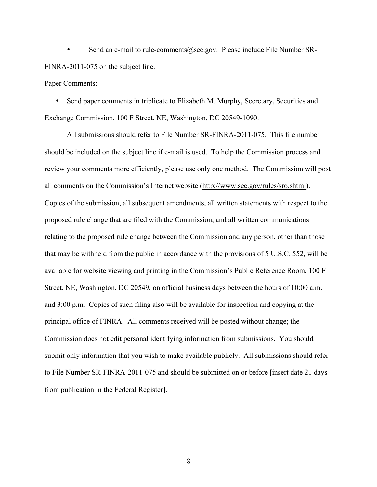Send an e-mail to rule-comments@sec.gov. Please include File Number SR-FINRA-2011-075 on the subject line.

### Paper Comments:

• Send paper comments in triplicate to Elizabeth M. Murphy, Secretary, Securities and Exchange Commission, 100 F Street, NE, Washington, DC 20549-1090.

All submissions should refer to File Number SR-FINRA-2011-075. This file number should be included on the subject line if e-mail is used. To help the Commission process and review your comments more efficiently, please use only one method. The Commission will post all comments on the Commission's Internet website (http://www.sec.gov/rules/sro.shtml). Copies of the submission, all subsequent amendments, all written statements with respect to the proposed rule change that are filed with the Commission, and all written communications relating to the proposed rule change between the Commission and any person, other than those that may be withheld from the public in accordance with the provisions of 5 U.S.C. 552, will be available for website viewing and printing in the Commission's Public Reference Room, 100 F Street, NE, Washington, DC 20549, on official business days between the hours of 10:00 a.m. and 3:00 p.m. Copies of such filing also will be available for inspection and copying at the principal office of FINRA. All comments received will be posted without change; the Commission does not edit personal identifying information from submissions. You should submit only information that you wish to make available publicly. All submissions should refer to File Number SR-FINRA-2011-075 and should be submitted on or before [insert date 21 days from publication in the Federal Register].

8